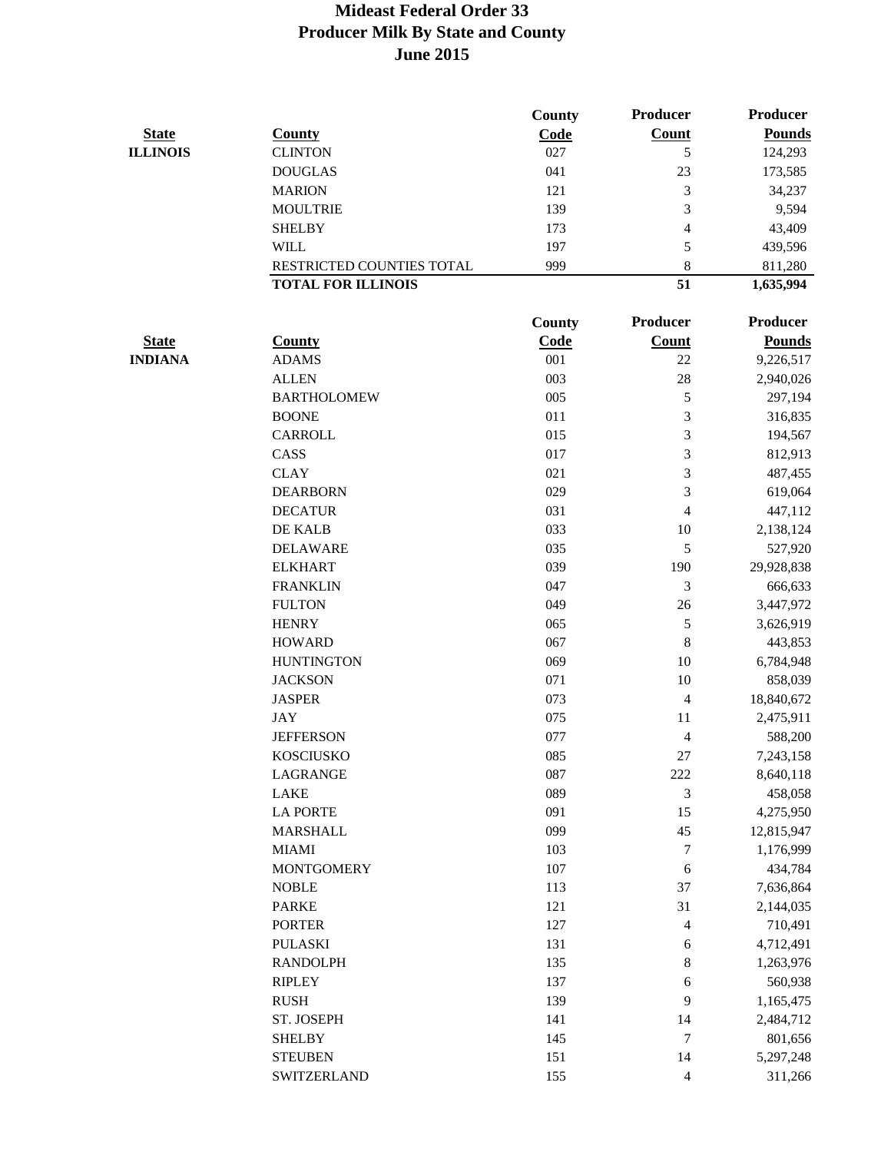|                 |                           | <b>County</b> | <b>Producer</b>          | <b>Producer</b> |
|-----------------|---------------------------|---------------|--------------------------|-----------------|
| <b>State</b>    | <b>County</b>             | Code          | Count                    | <b>Pounds</b>   |
| <b>ILLINOIS</b> | <b>CLINTON</b>            | 027           | 5                        | 124,293         |
|                 | <b>DOUGLAS</b>            | 041           | 23                       | 173,585         |
|                 | <b>MARION</b>             | 121           | 3                        | 34,237          |
|                 | <b>MOULTRIE</b>           | 139           | 3                        | 9,594           |
|                 | <b>SHELBY</b>             | 173           | 4                        | 43,409          |
|                 | <b>WILL</b>               | 197           | 5                        | 439,596         |
|                 | RESTRICTED COUNTIES TOTAL | 999           | 8                        | 811,280         |
|                 | <b>TOTAL FOR ILLINOIS</b> |               | 51                       | 1,635,994       |
|                 |                           | County        | <b>Producer</b>          | <b>Producer</b> |
| <b>State</b>    | <b>County</b>             | <b>Code</b>   | <b>Count</b>             | <b>Pounds</b>   |
| <b>INDIANA</b>  | <b>ADAMS</b>              | 001           | 22                       | 9,226,517       |
|                 | <b>ALLEN</b>              | 003           | 28                       | 2,940,026       |
|                 | <b>BARTHOLOMEW</b>        | 005           | 5                        | 297,194         |
|                 | <b>BOONE</b>              | 011           | 3                        | 316,835         |
|                 | CARROLL                   | 015           | 3                        | 194,567         |
|                 | CASS                      | 017           | 3                        | 812,913         |
|                 | <b>CLAY</b>               | 021           | 3                        | 487,455         |
|                 | <b>DEARBORN</b>           | 029           | 3                        | 619,064         |
|                 | <b>DECATUR</b>            | 031           | $\overline{4}$           | 447,112         |
|                 | DE KALB                   | 033           | 10                       | 2,138,124       |
|                 | <b>DELAWARE</b>           | 035           | 5                        | 527,920         |
|                 | <b>ELKHART</b>            | 039           | 190                      | 29,928,838      |
|                 | <b>FRANKLIN</b>           | 047           | 3                        | 666,633         |
|                 | <b>FULTON</b>             | 049           | 26                       | 3,447,972       |
|                 | <b>HENRY</b>              | 065           | 5                        | 3,626,919       |
|                 | <b>HOWARD</b>             | 067           | $\,8\,$                  | 443,853         |
|                 | <b>HUNTINGTON</b>         | 069           | 10                       | 6,784,948       |
|                 | <b>JACKSON</b>            | 071           | 10                       | 858,039         |
|                 | <b>JASPER</b>             | 073           | 4                        | 18,840,672      |
|                 | <b>JAY</b>                | 075           | 11                       | 2,475,911       |
|                 | <b>JEFFERSON</b>          | 077           | $\overline{\mathcal{L}}$ | 588,200         |
|                 | <b>KOSCIUSKO</b>          | 085           | 27                       | 7,243,158       |
|                 | LAGRANGE                  | 087           | 222                      | 8,640,118       |
|                 | LAKE                      | 089           | 3                        | 458,058         |
|                 | <b>LA PORTE</b>           | 091           | 15                       | 4,275,950       |
|                 | <b>MARSHALL</b>           | 099           | 45                       | 12,815,947      |
|                 | <b>MIAMI</b>              | 103           | 7                        | 1,176,999       |
|                 | <b>MONTGOMERY</b>         | 107           | $\sqrt{6}$               | 434,784         |
|                 | <b>NOBLE</b>              | 113           | 37                       | 7,636,864       |
|                 | <b>PARKE</b>              | 121           | 31                       | 2,144,035       |
|                 | <b>PORTER</b>             | 127           | $\overline{\mathbf{4}}$  | 710,491         |
|                 | <b>PULASKI</b>            | 131           | $\epsilon$               | 4,712,491       |
|                 | <b>RANDOLPH</b>           | 135           | 8                        | 1,263,976       |
|                 | <b>RIPLEY</b>             | 137           | $\epsilon$               | 560,938         |
|                 | <b>RUSH</b>               | 139           | 9                        | 1,165,475       |
|                 | ST. JOSEPH                | 141           | 14                       | 2,484,712       |
|                 | <b>SHELBY</b>             | 145           | 7                        | 801,656         |
|                 | <b>STEUBEN</b>            | 151           | 14                       | 5,297,248       |
|                 | SWITZERLAND               | 155           | $\overline{4}$           | 311,266         |
|                 |                           |               |                          |                 |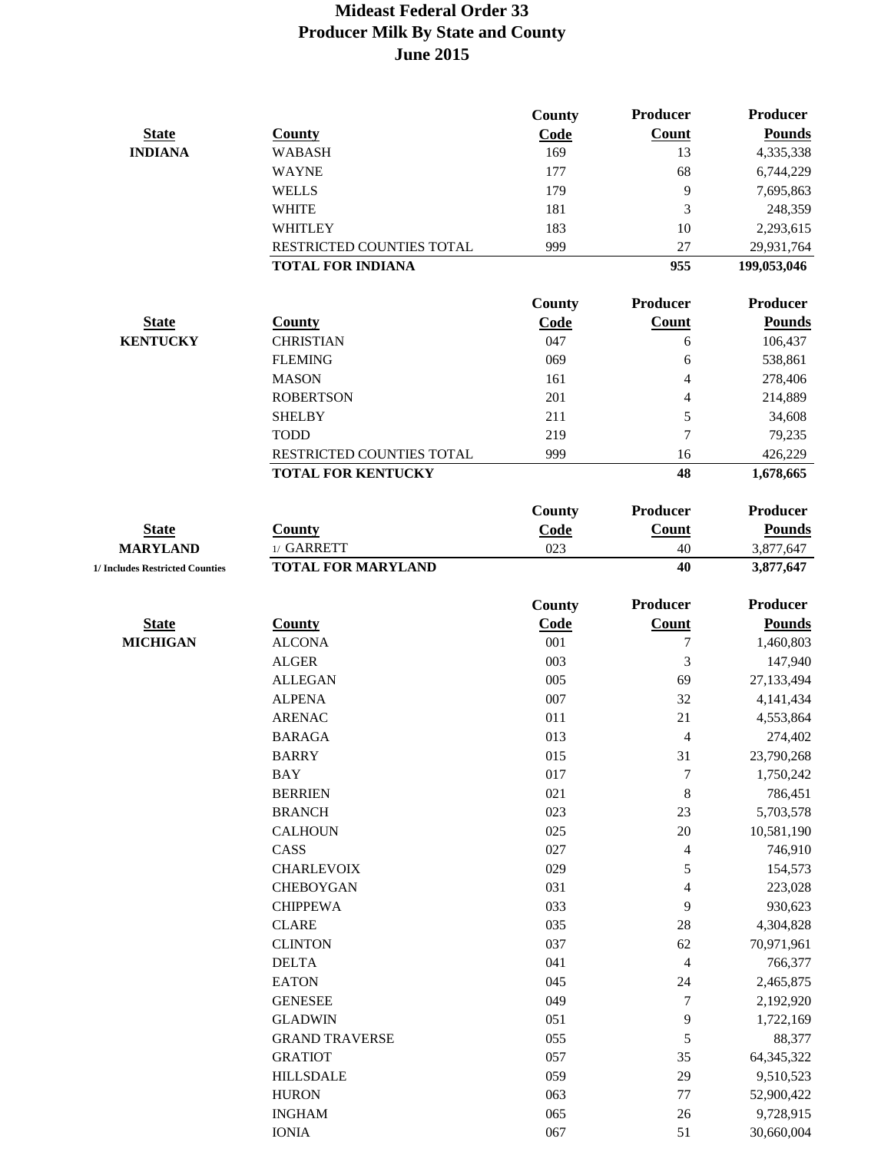|                                 |                           | <b>County</b> | Producer                 | <b>Producer</b> |
|---------------------------------|---------------------------|---------------|--------------------------|-----------------|
| <b>State</b>                    | <b>County</b>             | Code          | Count                    | <b>Pounds</b>   |
| <b>INDIANA</b>                  | <b>WABASH</b>             | 169           | 13                       | 4,335,338       |
|                                 | <b>WAYNE</b>              | 177           | 68                       | 6,744,229       |
|                                 | <b>WELLS</b>              | 179           | 9                        | 7,695,863       |
|                                 | <b>WHITE</b>              | 181           | 3                        | 248,359         |
|                                 | WHITLEY                   | 183           | 10                       | 2,293,615       |
|                                 | RESTRICTED COUNTIES TOTAL | 999           | 27                       | 29,931,764      |
|                                 | <b>TOTAL FOR INDIANA</b>  |               | 955                      | 199,053,046     |
|                                 |                           |               |                          |                 |
|                                 |                           | County        | Producer                 | Producer        |
| <b>State</b>                    | <b>County</b>             | Code          | Count                    | <b>Pounds</b>   |
| <b>KENTUCKY</b>                 | <b>CHRISTIAN</b>          | 047           | 6                        | 106,437         |
|                                 | <b>FLEMING</b>            | 069           | 6                        | 538,861         |
|                                 | <b>MASON</b>              | 161           | 4                        | 278,406         |
|                                 | <b>ROBERTSON</b>          | 201           | 4                        | 214,889         |
|                                 | <b>SHELBY</b>             | 211           | 5                        | 34,608          |
|                                 | <b>TODD</b>               | 219           | $\overline{7}$           | 79,235          |
|                                 | RESTRICTED COUNTIES TOTAL | 999           | 16                       | 426,229         |
|                                 | <b>TOTAL FOR KENTUCKY</b> |               | 48                       | 1,678,665       |
|                                 |                           | County        | Producer                 | <b>Producer</b> |
| <b>State</b>                    | <b>County</b>             |               | Count                    | <b>Pounds</b>   |
| <b>MARYLAND</b>                 | 1/ GARRETT                | Code<br>023   | 40                       |                 |
|                                 |                           |               | 40                       | 3,877,647       |
| 1/ Includes Restricted Counties | <b>TOTAL FOR MARYLAND</b> |               |                          | 3,877,647       |
|                                 |                           | County        | Producer                 | <b>Producer</b> |
| <b>State</b>                    | <b>County</b>             | Code          | <b>Count</b>             | <b>Pounds</b>   |
| <b>MICHIGAN</b>                 | <b>ALCONA</b>             | 001           | 7                        | 1,460,803       |
|                                 | <b>ALGER</b>              | 003           | 3                        | 147,940         |
|                                 | <b>ALLEGAN</b>            | 005           | 69                       | 27,133,494      |
|                                 | <b>ALPENA</b>             | 007           | 32                       | 4,141,434       |
|                                 | <b>ARENAC</b>             | 011           | 21                       | 4,553,864       |
|                                 | <b>BARAGA</b>             | 013           | 4                        | 274,402         |
|                                 | <b>BARRY</b>              | 015           | 31                       | 23,790,268      |
|                                 | <b>BAY</b>                | 017           | $\tau$                   | 1,750,242       |
|                                 | <b>BERRIEN</b>            | 021           | $\,$ 8 $\,$              | 786,451         |
|                                 | <b>BRANCH</b>             | 023           | 23                       | 5,703,578       |
|                                 | <b>CALHOUN</b>            | 025           | $20\,$                   | 10,581,190      |
|                                 | CASS                      | 027           | 4                        | 746,910         |
|                                 | <b>CHARLEVOIX</b>         | 029           | 5                        | 154,573         |
|                                 | <b>CHEBOYGAN</b>          | 031           | $\overline{\mathbf{4}}$  | 223,028         |
|                                 | <b>CHIPPEWA</b>           | 033           | 9                        | 930,623         |
|                                 | <b>CLARE</b>              | 035           | $28\,$                   | 4,304,828       |
|                                 | <b>CLINTON</b>            | 037           | 62                       | 70,971,961      |
|                                 | <b>DELTA</b>              | 041           |                          |                 |
|                                 |                           |               | $\overline{\mathcal{A}}$ | 766,377         |
|                                 | <b>EATON</b>              | 045           | 24                       | 2,465,875       |
|                                 | <b>GENESEE</b>            | 049           | 7                        | 2,192,920       |
|                                 | <b>GLADWIN</b>            | 051           | 9                        | 1,722,169       |
|                                 | <b>GRAND TRAVERSE</b>     | 055           | 5                        | 88,377          |
|                                 | <b>GRATIOT</b>            | 057           | 35                       | 64, 345, 322    |
|                                 | <b>HILLSDALE</b>          | 059           | 29                       | 9,510,523       |
|                                 | <b>HURON</b>              | 063           | $77 \,$                  | 52,900,422      |
|                                 | <b>INGHAM</b>             | 065           | $26\,$                   | 9,728,915       |
|                                 | <b>IONIA</b>              | 067           | 51                       | 30,660,004      |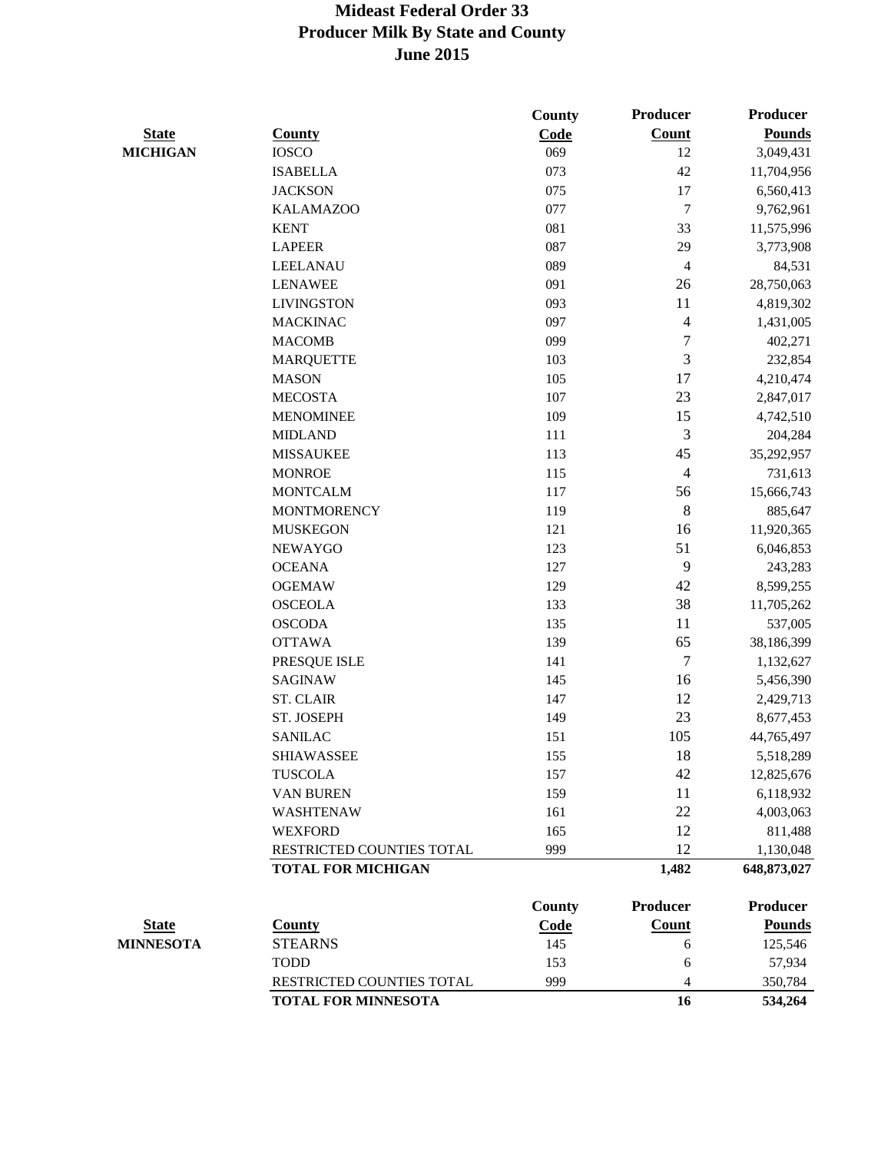|                  |                            | <b>County</b> | <b>Producer</b> | <b>Producer</b> |
|------------------|----------------------------|---------------|-----------------|-----------------|
| <b>State</b>     | <b>County</b>              | Code          | Count           | <b>Pounds</b>   |
| <b>MICHIGAN</b>  | <b>IOSCO</b>               | 069           | 12              | 3,049,431       |
|                  | <b>ISABELLA</b>            | 073           | 42              | 11,704,956      |
|                  | <b>JACKSON</b>             | 075           | 17              | 6,560,413       |
|                  | <b>KALAMAZOO</b>           | 077           | $\tau$          | 9,762,961       |
|                  | <b>KENT</b>                | 081           | 33              | 11,575,996      |
|                  | <b>LAPEER</b>              | 087           | 29              | 3,773,908       |
|                  | <b>LEELANAU</b>            | 089           | 4               | 84,531          |
|                  | <b>LENAWEE</b>             | 091           | 26              | 28,750,063      |
|                  | <b>LIVINGSTON</b>          | 093           | 11              | 4,819,302       |
|                  | <b>MACKINAC</b>            | 097           | 4               | 1,431,005       |
|                  | <b>MACOMB</b>              | 099           | 7               | 402,271         |
|                  | <b>MARQUETTE</b>           | 103           | 3               | 232,854         |
|                  | <b>MASON</b>               | 105           | 17              | 4,210,474       |
|                  | <b>MECOSTA</b>             | 107           | 23              | 2,847,017       |
|                  | <b>MENOMINEE</b>           | 109           | 15              | 4,742,510       |
|                  | <b>MIDLAND</b>             | 111           | 3               | 204,284         |
|                  | <b>MISSAUKEE</b>           | 113           | 45              | 35,292,957      |
|                  | <b>MONROE</b>              | 115           | $\overline{4}$  | 731,613         |
|                  | <b>MONTCALM</b>            | 117           | 56              | 15,666,743      |
|                  | <b>MONTMORENCY</b>         | 119           | $\,8\,$         | 885,647         |
|                  | <b>MUSKEGON</b>            | 121           | 16              | 11,920,365      |
|                  | <b>NEWAYGO</b>             | 123           | 51              | 6,046,853       |
|                  | <b>OCEANA</b>              | 127           | 9               | 243,283         |
|                  | <b>OGEMAW</b>              | 129           | 42              | 8,599,255       |
|                  | <b>OSCEOLA</b>             | 133           | 38              | 11,705,262      |
|                  | <b>OSCODA</b>              | 135           | 11              | 537,005         |
|                  | <b>OTTAWA</b>              | 139           | 65              | 38,186,399      |
|                  | PRESQUE ISLE               | 141           | 7               | 1,132,627       |
|                  | <b>SAGINAW</b>             | 145           | 16              | 5,456,390       |
|                  | <b>ST. CLAIR</b>           | 147           | 12              | 2,429,713       |
|                  | ST. JOSEPH                 | 149           | 23              | 8,677,453       |
|                  | <b>SANILAC</b>             | 151           | 105             | 44,765,497      |
|                  | <b>SHIAWASSEE</b>          | 155           | 18              | 5,518,289       |
|                  | <b>TUSCOLA</b>             | 157           | 42              | 12,825,676      |
|                  | VAN BUREN                  | 159           | 11              | 6,118,932       |
|                  | <b>WASHTENAW</b>           | 161           | 22              | 4,003,063       |
|                  | <b>WEXFORD</b>             | 165           | 12              | 811,488         |
|                  | RESTRICTED COUNTIES TOTAL  | 999           | 12              | 1,130,048       |
|                  | <b>TOTAL FOR MICHIGAN</b>  |               | 1,482           | 648,873,027     |
|                  |                            | County        | <b>Producer</b> | <b>Producer</b> |
| <b>State</b>     | <b>County</b>              | Code          | Count           | <b>Pounds</b>   |
| <b>MINNESOTA</b> | <b>STEARNS</b>             | 145           | 6               | 125,546         |
|                  | <b>TODD</b>                | 153           | 6               | 57,934          |
|                  | RESTRICTED COUNTIES TOTAL  | 999           | 4               | 350,784         |
|                  | <b>TOTAL FOR MINNESOTA</b> |               | 16              | 534,264         |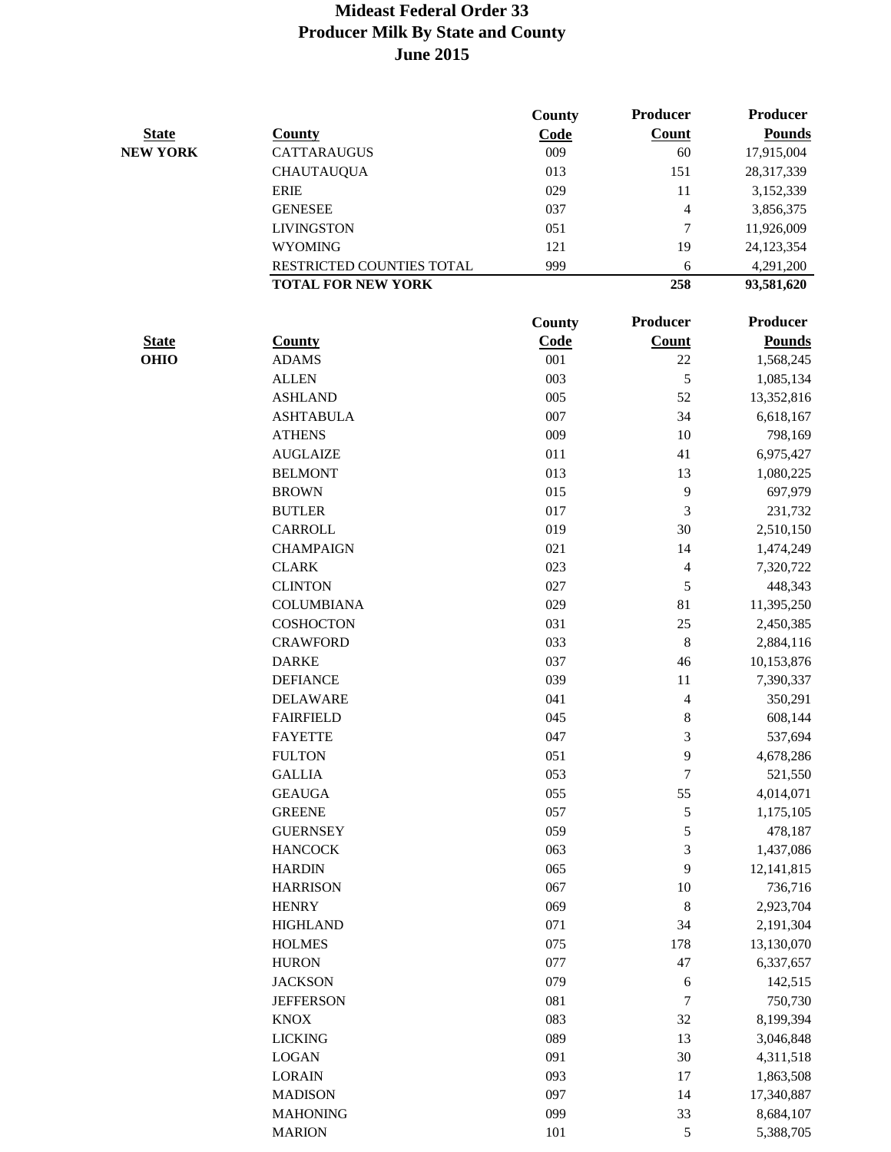|                 |                           | County | <b>Producer</b>          | <b>Producer</b> |
|-----------------|---------------------------|--------|--------------------------|-----------------|
| <b>State</b>    | <b>County</b>             | Code   | Count                    | <b>Pounds</b>   |
| <b>NEW YORK</b> | <b>CATTARAUGUS</b>        | 009    | 60                       | 17,915,004      |
|                 | <b>CHAUTAUQUA</b>         | 013    | 151                      | 28,317,339      |
|                 | <b>ERIE</b>               | 029    | 11                       | 3,152,339       |
|                 | <b>GENESEE</b>            | 037    | 4                        | 3,856,375       |
|                 | <b>LIVINGSTON</b>         | 051    | $\boldsymbol{7}$         | 11,926,009      |
|                 | <b>WYOMING</b>            | 121    | 19                       | 24,123,354      |
|                 | RESTRICTED COUNTIES TOTAL | 999    | 6                        | 4,291,200       |
|                 | <b>TOTAL FOR NEW YORK</b> |        | 258                      | 93,581,620      |
|                 |                           | County | <b>Producer</b>          | <b>Producer</b> |
| <b>State</b>    | <b>County</b>             | Code   | <b>Count</b>             | <b>Pounds</b>   |
| <b>OHIO</b>     | <b>ADAMS</b>              | 001    | 22                       | 1,568,245       |
|                 | <b>ALLEN</b>              | 003    | 5                        | 1,085,134       |
|                 | <b>ASHLAND</b>            | 005    | 52                       | 13,352,816      |
|                 | <b>ASHTABULA</b>          | 007    | 34                       | 6,618,167       |
|                 | <b>ATHENS</b>             | 009    | 10                       | 798,169         |
|                 | <b>AUGLAIZE</b>           | 011    | 41                       | 6,975,427       |
|                 | <b>BELMONT</b>            | 013    | 13                       | 1,080,225       |
|                 | <b>BROWN</b>              | 015    | 9                        | 697,979         |
|                 | <b>BUTLER</b>             | 017    | 3                        | 231,732         |
|                 | CARROLL                   | 019    | 30                       | 2,510,150       |
|                 | <b>CHAMPAIGN</b>          | 021    | 14                       | 1,474,249       |
|                 | <b>CLARK</b>              | 023    | $\overline{\mathbf{4}}$  | 7,320,722       |
|                 | <b>CLINTON</b>            | 027    | 5                        | 448,343         |
|                 | <b>COLUMBIANA</b>         | 029    | 81                       | 11,395,250      |
|                 | <b>COSHOCTON</b>          | 031    | 25                       | 2,450,385       |
|                 | <b>CRAWFORD</b>           | 033    | 8                        | 2,884,116       |
|                 | <b>DARKE</b>              | 037    | 46                       | 10,153,876      |
|                 | <b>DEFIANCE</b>           | 039    | 11                       | 7,390,337       |
|                 | <b>DELAWARE</b>           | 041    | $\overline{\mathcal{L}}$ | 350,291         |
|                 | <b>FAIRFIELD</b>          | 045    | 8                        | 608,144         |
|                 | <b>FAYETTE</b>            | 047    | 3                        | 537,694         |
|                 | <b>FULTON</b>             | 051    | 9                        | 4,678,286       |
|                 | <b>GALLIA</b>             | 053    | 7                        | 521,550         |
|                 | <b>GEAUGA</b>             | 055    | 55                       | 4,014,071       |
|                 | <b>GREENE</b>             | 057    | $\sqrt{5}$               | 1,175,105       |
|                 | <b>GUERNSEY</b>           | 059    | 5                        | 478,187         |
|                 | <b>HANCOCK</b>            | 063    | 3                        | 1,437,086       |
|                 | <b>HARDIN</b>             | 065    | 9                        | 12,141,815      |
|                 | <b>HARRISON</b>           | 067    | 10                       | 736,716         |
|                 | <b>HENRY</b>              | 069    | $\,8\,$                  | 2,923,704       |
|                 | <b>HIGHLAND</b>           | 071    | 34                       | 2,191,304       |
|                 | <b>HOLMES</b>             | 075    | 178                      | 13,130,070      |
|                 | <b>HURON</b>              | 077    | 47                       | 6,337,657       |
|                 | <b>JACKSON</b>            | 079    | 6                        | 142,515         |
|                 | <b>JEFFERSON</b>          | 081    | $\boldsymbol{7}$         | 750,730         |
|                 | <b>KNOX</b>               | 083    | 32                       | 8,199,394       |
|                 | <b>LICKING</b>            | 089    | 13                       | 3,046,848       |
|                 | <b>LOGAN</b>              | 091    | 30                       | 4,311,518       |
|                 | <b>LORAIN</b>             | 093    | 17                       | 1,863,508       |
|                 | <b>MADISON</b>            | 097    | 14                       | 17,340,887      |
|                 | <b>MAHONING</b>           | 099    | 33                       | 8,684,107       |
|                 | <b>MARION</b>             | 101    | 5                        | 5,388,705       |
|                 |                           |        |                          |                 |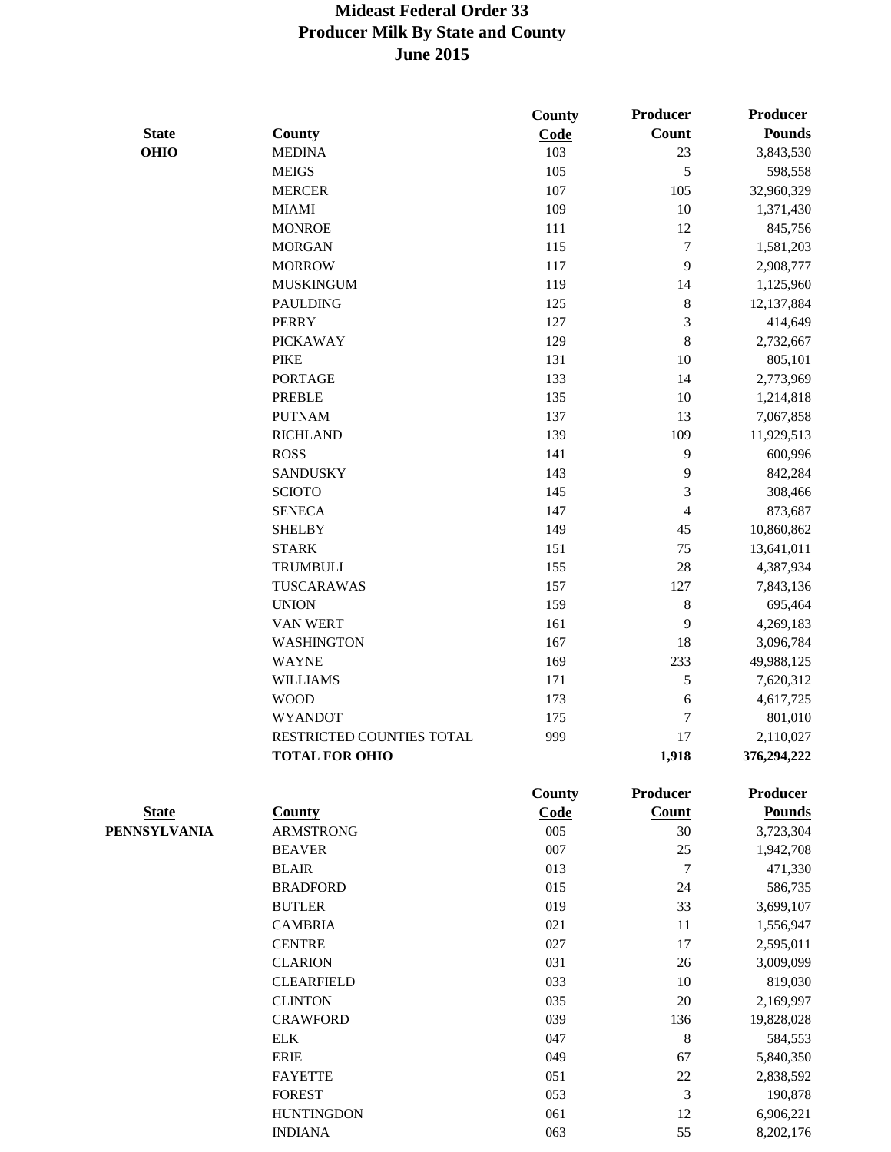|              |                           | County      | Producer         | <b>Producer</b> |
|--------------|---------------------------|-------------|------------------|-----------------|
| <b>State</b> | <b>County</b>             | Code        | Count            | <b>Pounds</b>   |
| <b>OHIO</b>  | <b>MEDINA</b>             | 103         | 23               | 3,843,530       |
|              | <b>MEIGS</b>              | 105         | 5                | 598,558         |
|              | <b>MERCER</b>             | 107         | 105              | 32,960,329      |
|              | <b>MIAMI</b>              | 109         | 10               | 1,371,430       |
|              | <b>MONROE</b>             | 111         | 12               | 845,756         |
|              | <b>MORGAN</b>             | 115         | $\tau$           | 1,581,203       |
|              | <b>MORROW</b>             | 117         | 9                | 2,908,777       |
|              | <b>MUSKINGUM</b>          | 119         | 14               | 1,125,960       |
|              | <b>PAULDING</b>           | 125         | 8                | 12,137,884      |
|              | <b>PERRY</b>              | 127         | 3                | 414,649         |
|              | <b>PICKAWAY</b>           | 129         | 8                | 2,732,667       |
|              | <b>PIKE</b>               | 131         | 10               | 805,101         |
|              | <b>PORTAGE</b>            | 133         | 14               | 2,773,969       |
|              | <b>PREBLE</b>             | 135         | 10               | 1,214,818       |
|              | <b>PUTNAM</b>             | 137         | 13               | 7,067,858       |
|              | <b>RICHLAND</b>           | 139         | 109              | 11,929,513      |
|              | <b>ROSS</b>               | 141         | 9                | 600,996         |
|              | <b>SANDUSKY</b>           | 143         | 9                | 842,284         |
|              | <b>SCIOTO</b>             | 145         | 3                | 308,466         |
|              | <b>SENECA</b>             | 147         | 4                | 873,687         |
|              | <b>SHELBY</b>             | 149         | 45               | 10,860,862      |
|              | <b>STARK</b>              | 151         | 75               | 13,641,011      |
|              | TRUMBULL                  | 155         | 28               | 4,387,934       |
|              | TUSCARAWAS                | 157         | 127              | 7,843,136       |
|              | <b>UNION</b>              | 159         | 8                | 695,464         |
|              | VAN WERT                  | 161         | 9                | 4,269,183       |
|              | WASHINGTON                | 167         | 18               | 3,096,784       |
|              | <b>WAYNE</b>              | 169         | 233              | 49,988,125      |
|              | <b>WILLIAMS</b>           | 171         | 5                | 7,620,312       |
|              | <b>WOOD</b>               | 173         | 6                | 4,617,725       |
|              | <b>WYANDOT</b>            | 175         | 7                | 801,010         |
|              | RESTRICTED COUNTIES TOTAL | 999         | 17               | 2,110,027       |
|              | <b>TOTAL FOR OHIO</b>     |             | 1,918            | 376,294,222     |
|              |                           | County      | <b>Producer</b>  | <b>Producer</b> |
| <b>State</b> | <b>County</b>             | <b>Code</b> | Count            | <b>Pounds</b>   |
| PENNSYLVANIA | <b>ARMSTRONG</b>          | 005         | 30               | 3,723,304       |
|              | <b>BEAVER</b>             | 007         | 25               | 1,942,708       |
|              | <b>BLAIR</b>              | 013         | $\boldsymbol{7}$ | 471,330         |
|              | <b>BRADFORD</b>           | 015         | 24               | 586,735         |
|              | <b>BUTLER</b>             | 019         | 33               | 3,699,107       |
|              | <b>CAMBRIA</b>            | 021         | 11               | 1,556,947       |
|              | <b>CENTRE</b>             | 027         | 17               | 2,595,011       |
|              | <b>CLARION</b>            | 031         | 26               | 3,009,099       |
|              | <b>CLEARFIELD</b>         | 033         | $10\,$           | 819,030         |
|              | <b>CLINTON</b>            | 035         | $20\,$           | 2,169,997       |
|              | <b>CRAWFORD</b>           | 039         | 136              | 19,828,028      |
|              | <b>ELK</b>                | 047         | $\,8\,$          | 584,553         |
|              | <b>ERIE</b>               | 049         | 67               | 5,840,350       |
|              | <b>FAYETTE</b>            | 051         | $22\,$           | 2,838,592       |
|              | <b>FOREST</b>             | 053         | 3                | 190,878         |
|              | <b>HUNTINGDON</b>         | 061         | 12               | 6,906,221       |

INDIANA 063 55 8,202,176